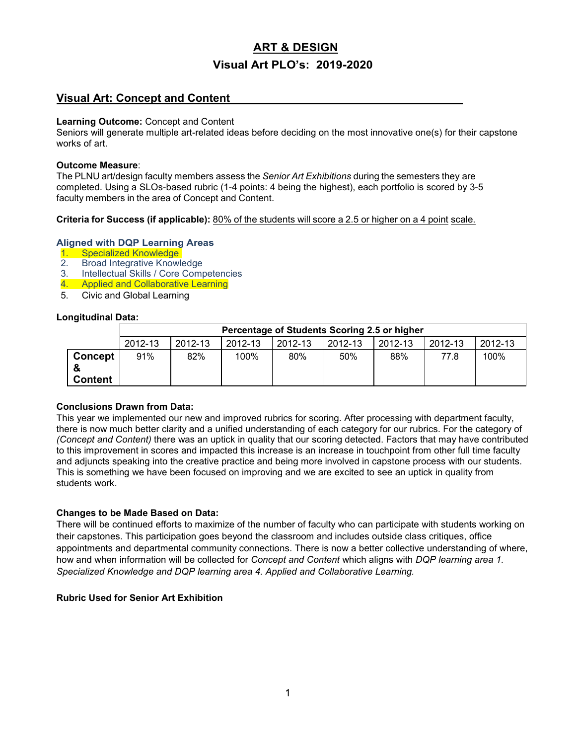# **ART & DESIGN Visual Art PLO's: 2019-2020**

# **Visual Art: Concept and Content**

#### **Learning Outcome:** Concept and Content

Seniors will generate multiple art-related ideas before deciding on the most innovative one(s) for their capstone works of art.

### **Outcome Measure**:

The PLNU art/design faculty members assess the *Senior Art Exhibitions* during the semesters they are completed. Using a SLOs-based rubric (1-4 points: 4 being the highest), each portfolio is scored by 3-5 faculty members in the area of Concept and Content.

**Criteria for Success (if applicable):** 80% of the students will score a 2.5 or higher on a 4 point scale.

### **Aligned with DQP Learning Areas**

- 1. Specialized Knowledge<br>2. Broad Integrative Knowl
- **Broad Integrative Knowledge**
- 3. Intellectual Skills / Core Competencies
- 4. Applied and Collaborative Learning
- 5. Civic and Global Learning

### **Longitudinal Data:**

|                |         | Percentage of Students Scoring 2.5 or higher |         |         |         |         |         |         |
|----------------|---------|----------------------------------------------|---------|---------|---------|---------|---------|---------|
|                | 2012-13 | 2012-13                                      | 2012-13 | 2012-13 | 2012-13 | 2012-13 | 2012-13 | 2012-13 |
| <b>Concept</b> | 91%     | 82%                                          | 100%    | 80%     | 50%     | 88%     | 77.8    | 100%    |
| <b>Content</b> |         |                                              |         |         |         |         |         |         |

### **Conclusions Drawn from Data:**

This year we implemented our new and improved rubrics for scoring. After processing with department faculty, there is now much better clarity and a unified understanding of each category for our rubrics. For the category of *(Concept and Content)* there was an uptick in quality that our scoring detected. Factors that may have contributed to this improvement in scores and impacted this increase is an increase in touchpoint from other full time faculty and adjuncts speaking into the creative practice and being more involved in capstone process with our students. This is something we have been focused on improving and we are excited to see an uptick in quality from students work.

### **Changes to be Made Based on Data:**

There will be continued efforts to maximize of the number of faculty who can participate with students working on their capstones. This participation goes beyond the classroom and includes outside class critiques, office appointments and departmental community connections. There is now a better collective understanding of where, how and when information will be collected for *Concept and Content* which aligns with *DQP learning area 1. Specialized Knowledge and DQP learning area 4. Applied and Collaborative Learning.*

### **Rubric Used for Senior Art Exhibition**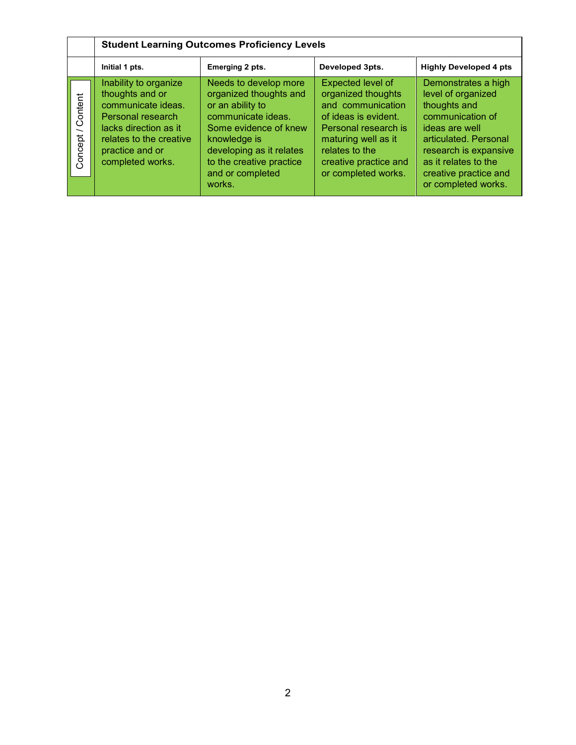|                                                | <b>Student Learning Outcomes Proficiency Levels</b>                                                                                                                            |                                                                                                                                                                                                                          |                                                                                                                                                                                                       |                                                                                                                                                                                                                           |  |
|------------------------------------------------|--------------------------------------------------------------------------------------------------------------------------------------------------------------------------------|--------------------------------------------------------------------------------------------------------------------------------------------------------------------------------------------------------------------------|-------------------------------------------------------------------------------------------------------------------------------------------------------------------------------------------------------|---------------------------------------------------------------------------------------------------------------------------------------------------------------------------------------------------------------------------|--|
|                                                | Initial 1 pts.                                                                                                                                                                 | Emerging 2 pts.                                                                                                                                                                                                          | Developed 3pts.                                                                                                                                                                                       | <b>Highly Developed 4 pts</b>                                                                                                                                                                                             |  |
| Content<br>$\overline{\phantom{0}}$<br>Concept | Inability to organize<br>thoughts and or<br>communicate ideas.<br>Personal research<br>lacks direction as it<br>relates to the creative<br>practice and or<br>completed works. | Needs to develop more<br>organized thoughts and<br>or an ability to<br>communicate ideas.<br>Some evidence of knew<br>knowledge is<br>developing as it relates<br>to the creative practice<br>and or completed<br>works. | Expected level of<br>organized thoughts<br>and communication<br>of ideas is evident.<br>Personal research is<br>maturing well as it<br>relates to the<br>creative practice and<br>or completed works. | Demonstrates a high<br>level of organized<br>thoughts and<br>communication of<br>ideas are well<br>articulated. Personal<br>research is expansive<br>as it relates to the<br>creative practice and<br>or completed works. |  |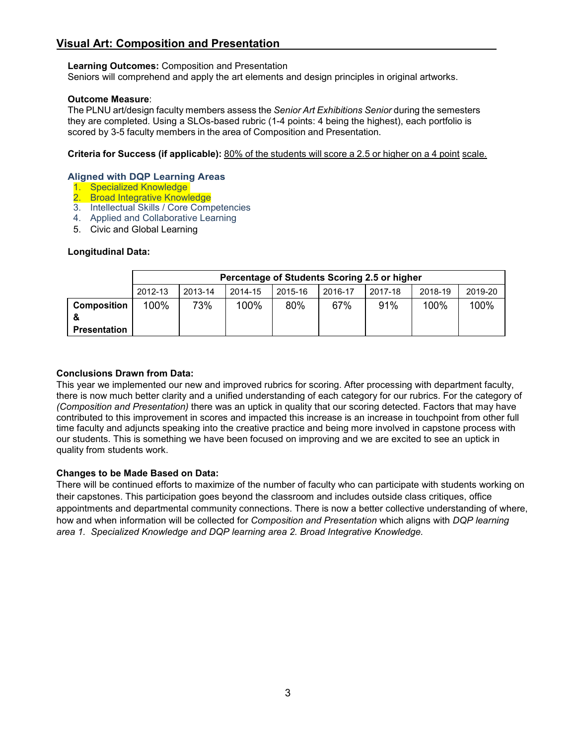# **Visual Art: Composition and Presentation**

### **Learning Outcomes:** Composition and Presentation

Seniors will comprehend and apply the art elements and design principles in original artworks.

### **Outcome Measure**:

The PLNU art/design faculty members assess the *Senior Art Exhibitions Senior* during the semesters they are completed. Using a SLOs-based rubric (1-4 points: 4 being the highest), each portfolio is scored by 3-5 faculty members in the area of Composition and Presentation.

**Criteria for Success (if applicable):** 80% of the students will score a 2.5 or higher on a 4 point scale.

### **Aligned with DQP Learning Areas**

- 1. Specialized Knowledge
- 2. Broad Integrative Knowledge
- 3. Intellectual Skills / Core Competencies
- 4. Applied and Collaborative Learning
- 5. Civic and Global Learning

### **Longitudinal Data:**

|                    |         | Percentage of Students Scoring 2.5 or higher |         |         |         |         |         |         |
|--------------------|---------|----------------------------------------------|---------|---------|---------|---------|---------|---------|
|                    | 2012-13 | 2013-14                                      | 2014-15 | 2015-16 | 2016-17 | 2017-18 | 2018-19 | 2019-20 |
| <b>Composition</b> | 100%    | 73%                                          | 100%    | 80%     | 67%     | 91%     | 100%    | 100%    |
|                    |         |                                              |         |         |         |         |         |         |
| Presentation       |         |                                              |         |         |         |         |         |         |

#### **Conclusions Drawn from Data:**

This year we implemented our new and improved rubrics for scoring. After processing with department faculty, there is now much better clarity and a unified understanding of each category for our rubrics. For the category of *(Composition and Presentation)* there was an uptick in quality that our scoring detected. Factors that may have contributed to this improvement in scores and impacted this increase is an increase in touchpoint from other full time faculty and adjuncts speaking into the creative practice and being more involved in capstone process with our students. This is something we have been focused on improving and we are excited to see an uptick in quality from students work.

### **Changes to be Made Based on Data:**

There will be continued efforts to maximize of the number of faculty who can participate with students working on their capstones. This participation goes beyond the classroom and includes outside class critiques, office appointments and departmental community connections. There is now a better collective understanding of where, how and when information will be collected for *Composition and Presentation* which aligns with *DQP learning area 1. Specialized Knowledge and DQP learning area 2. Broad Integrative Knowledge.*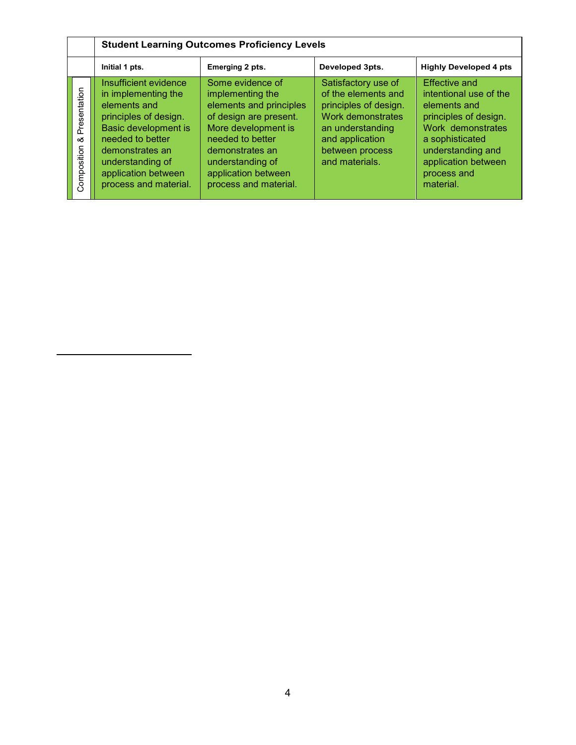|                                  |                                                                                                                                                                                                                          | <b>Student Learning Outcomes Proficiency Levels</b>                                                                                                                                                                         |                                                                                                                                                                      |                                                                                                                                                                                                         |  |  |  |
|----------------------------------|--------------------------------------------------------------------------------------------------------------------------------------------------------------------------------------------------------------------------|-----------------------------------------------------------------------------------------------------------------------------------------------------------------------------------------------------------------------------|----------------------------------------------------------------------------------------------------------------------------------------------------------------------|---------------------------------------------------------------------------------------------------------------------------------------------------------------------------------------------------------|--|--|--|
|                                  | Initial 1 pts.                                                                                                                                                                                                           | Emerging 2 pts.                                                                                                                                                                                                             | Developed 3pts.                                                                                                                                                      | <b>Highly Developed 4 pts</b>                                                                                                                                                                           |  |  |  |
| Presentation<br>య<br>Composition | Insufficient evidence<br>in implementing the<br>elements and<br>principles of design.<br>Basic development is<br>needed to better<br>demonstrates an<br>understanding of<br>application between<br>process and material. | Some evidence of<br>implementing the<br>elements and principles<br>of design are present.<br>More development is<br>needed to better<br>demonstrates an<br>understanding of<br>application between<br>process and material. | Satisfactory use of<br>of the elements and<br>principles of design.<br>Work demonstrates<br>an understanding<br>and application<br>between process<br>and materials. | <b>Effective and</b><br>intentional use of the<br>elements and<br>principles of design.<br>Work demonstrates<br>a sophisticated<br>understanding and<br>application between<br>process and<br>material. |  |  |  |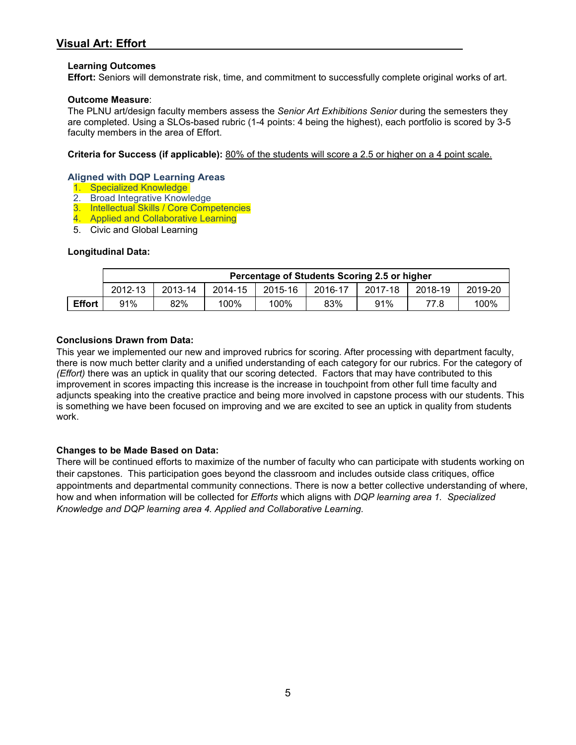### **Learning Outcomes**

**Effort:** Seniors will demonstrate risk, time, and commitment to successfully complete original works of art.

### **Outcome Measure**:

The PLNU art/design faculty members assess the *Senior Art Exhibitions Senior* during the semesters they are completed. Using a SLOs-based rubric (1-4 points: 4 being the highest), each portfolio is scored by 3-5 faculty members in the area of Effort.

**Criteria for Success (if applicable):** 80% of the students will score a 2.5 or higher on a 4 point scale.

#### **Aligned with DQP Learning Areas**

- 1. Specialized Knowledge
- 2. Broad Integrative Knowledge
- 3. Intellectual Skills / Core Competencies
- 4. Applied and Collaborative Learning
- 5. Civic and Global Learning

### **Longitudinal Data:**

|               | Percentage of Students Scoring 2.5 or higher |         |         |         |         |         |         |         |
|---------------|----------------------------------------------|---------|---------|---------|---------|---------|---------|---------|
|               | 2012-13                                      | 2013-14 | 2014-15 | 2015-16 | 2016-17 | 2017-18 | 2018-19 | 2019-20 |
| <b>Effort</b> | 91%                                          | 82%     | 100%    | 100%    | 83%     | 91%     | 77.8    | 100%    |

### **Conclusions Drawn from Data:**

This year we implemented our new and improved rubrics for scoring. After processing with department faculty, there is now much better clarity and a unified understanding of each category for our rubrics. For the category of *(Effort)* there was an uptick in quality that our scoring detected. Factors that may have contributed to this improvement in scores impacting this increase is the increase in touchpoint from other full time faculty and adjuncts speaking into the creative practice and being more involved in capstone process with our students. This is something we have been focused on improving and we are excited to see an uptick in quality from students work.

### **Changes to be Made Based on Data:**

There will be continued efforts to maximize of the number of faculty who can participate with students working on their capstones. This participation goes beyond the classroom and includes outside class critiques, office appointments and departmental community connections. There is now a better collective understanding of where, how and when information will be collected for *Efforts* which aligns with *DQP learning area 1. Specialized Knowledge and DQP learning area 4. Applied and Collaborative Learning.*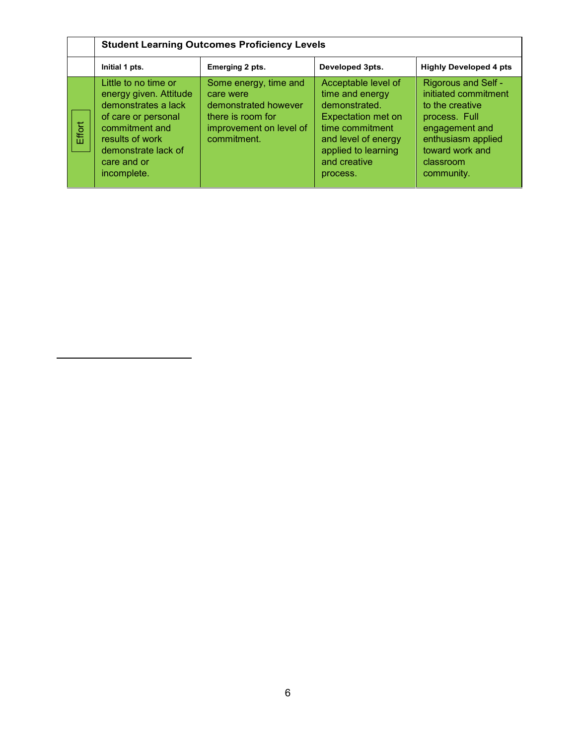|        | <b>Student Learning Outcomes Proficiency Levels</b>                                                                                                                                    |                                                                                                                           |                                                                                                                                                                                   |                                                                                                                                                                              |  |
|--------|----------------------------------------------------------------------------------------------------------------------------------------------------------------------------------------|---------------------------------------------------------------------------------------------------------------------------|-----------------------------------------------------------------------------------------------------------------------------------------------------------------------------------|------------------------------------------------------------------------------------------------------------------------------------------------------------------------------|--|
|        | Initial 1 pts.                                                                                                                                                                         | Emerging 2 pts.                                                                                                           | Developed 3pts.                                                                                                                                                                   | <b>Highly Developed 4 pts</b>                                                                                                                                                |  |
| Effort | Little to no time or<br>energy given. Attitude<br>demonstrates a lack<br>of care or personal<br>commitment and<br>results of work<br>demonstrate lack of<br>care and or<br>incomplete. | Some energy, time and<br>care were<br>demonstrated however<br>there is room for<br>improvement on level of<br>commitment. | Acceptable level of<br>time and energy<br>demonstrated.<br><b>Expectation met on</b><br>time commitment<br>and level of energy<br>applied to learning<br>and creative<br>process. | <b>Rigorous and Self -</b><br>initiated commitment<br>to the creative<br>process. Full<br>engagement and<br>enthusiasm applied<br>toward work and<br>classroom<br>community. |  |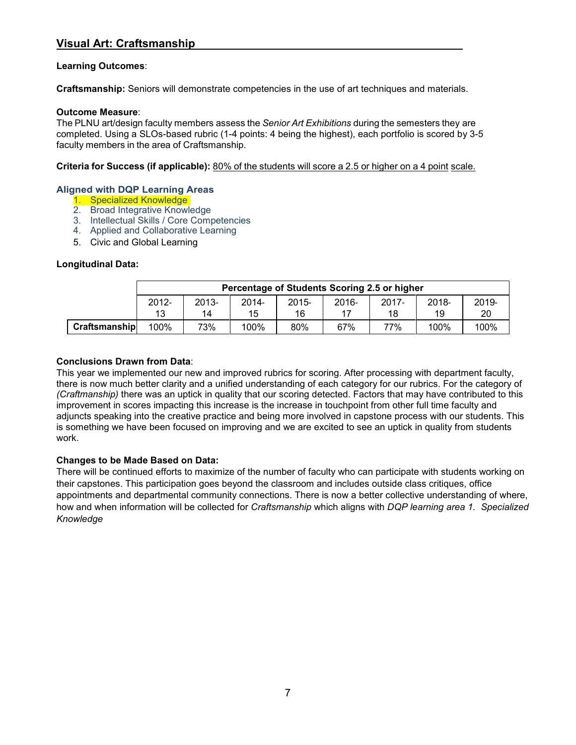### **Learning Outcomes**:

**Craftsmanship:** Seniors will demonstrate competencies in the use of art techniques and materials.

### **Outcome Measure**:

The PLNU art/design faculty members assess the *Senior Art Exhibitions* during the semesters they are completed. Using a SLOs-based rubric (1-4 points: 4 being the highest), each portfolio is scored by 3-5 faculty members in the area of Craftsmanship.

**Criteria for Success (if applicable):** 80% of the students will score a 2.5 or higher on a 4 point scale.

### **Aligned with DQP Learning Areas**

- 1. Specialized Knowledge
- 2. Broad Integrative Knowledge
- 3. Intellectual Skills / Core Competencies
- 4. Applied and Collaborative Learning
- 5. Civic and Global Learning

### **Longitudinal Data:**

|               |          | Percentage of Students Scoring 2.5 or higher |          |          |          |          |          |       |  |
|---------------|----------|----------------------------------------------|----------|----------|----------|----------|----------|-------|--|
|               | $2012 -$ | $2013 -$                                     | $2014 -$ | $2015 -$ | $2016 -$ | $2017 -$ | $2018 -$ | 2019- |  |
|               | 13       | 14                                           | 15       | 16       |          | 18       | 19       | 20    |  |
| Craftsmanship | 100%     | 73%                                          | 100%     | 80%      | 67%      | 77%      | 100%     | 100%  |  |

### **Conclusions Drawn from Data**:

This year we implemented our new and improved rubrics for scoring. After processing with department faculty, there is now much better clarity and a unified understanding of each category for our rubrics. For the category of *(Craftmanship)* there was an uptick in quality that our scoring detected. Factors that may have contributed to this improvement in scores impacting this increase is the increase in touchpoint from other full time faculty and adjuncts speaking into the creative practice and being more involved in capstone process with our students. This is something we have been focused on improving and we are excited to see an uptick in quality from students work.

### **Changes to be Made Based on Data:**

There will be continued efforts to maximize of the number of faculty who can participate with students working on their capstones. This participation goes beyond the classroom and includes outside class critiques, office appointments and departmental community connections. There is now a better collective understanding of where, how and when information will be collected for *Craftsmanship* which aligns with *DQP learning area 1. Specialized Knowledge*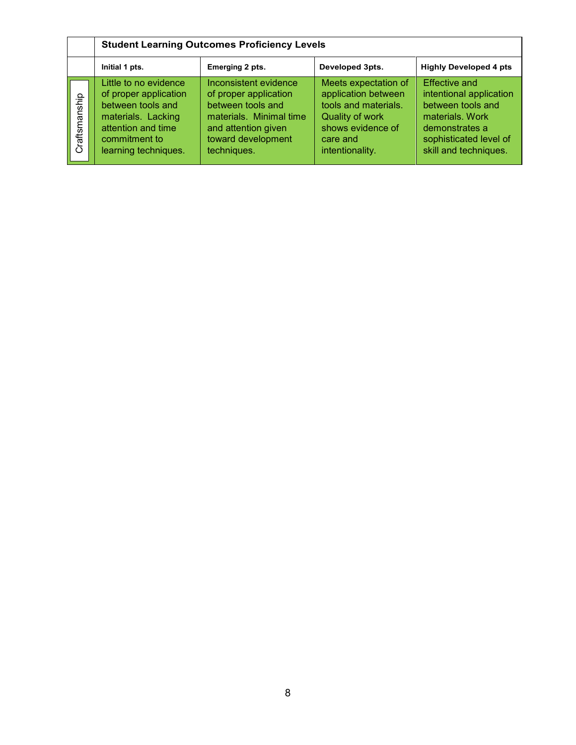|               | <b>Student Learning Outcomes Proficiency Levels</b>                                                                                                      |                                                                                                                                                            |                                                                                                                                            |                                                                                                                                                              |  |
|---------------|----------------------------------------------------------------------------------------------------------------------------------------------------------|------------------------------------------------------------------------------------------------------------------------------------------------------------|--------------------------------------------------------------------------------------------------------------------------------------------|--------------------------------------------------------------------------------------------------------------------------------------------------------------|--|
|               | Initial 1 pts.                                                                                                                                           | Emerging 2 pts.                                                                                                                                            | Developed 3pts.                                                                                                                            | <b>Highly Developed 4 pts</b>                                                                                                                                |  |
| Craftsmanship | Little to no evidence<br>of proper application<br>between tools and<br>materials. Lacking<br>attention and time<br>commitment to<br>learning techniques. | Inconsistent evidence<br>of proper application<br>between tools and<br>materials. Minimal time<br>and attention given<br>toward development<br>techniques. | Meets expectation of<br>application between<br>tools and materials.<br>Quality of work<br>shows evidence of<br>care and<br>intentionality. | <b>Effective and</b><br>intentional application<br>between tools and<br>materials, Work<br>demonstrates a<br>sophisticated level of<br>skill and techniques. |  |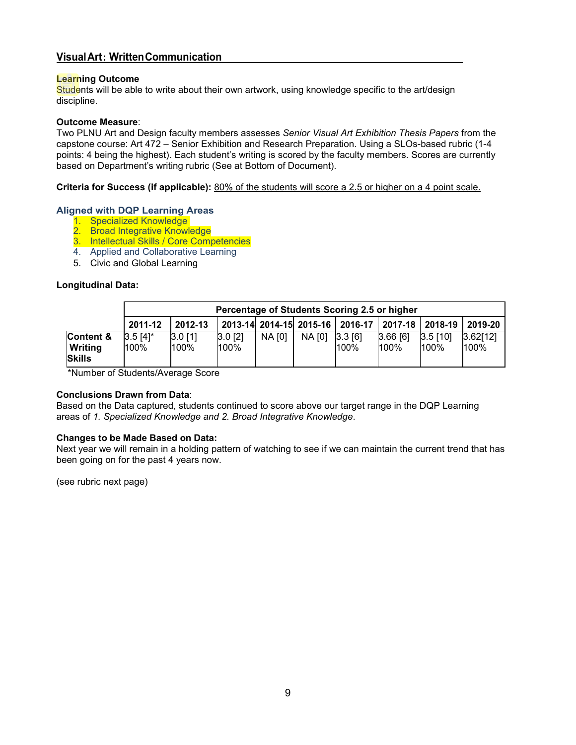### **VisualArt**: **WrittenCommunication**

#### **Learning Outcome**

Students will be able to write about their own artwork, using knowledge specific to the art/design discipline.

#### **Outcome Measure**:

Two PLNU Art and Design faculty members assesses *Senior Visual Art Exhibition Thesis Papers* from the capstone course: Art 472 – Senior Exhibition and Research Preparation. Using a SLOs-based rubric (1-4 points: 4 being the highest). Each student's writing is scored by the faculty members. Scores are currently based on Department's writing rubric (See at Bottom of Document).

### **Criteria for Success (if applicable):** 80% of the students will score a 2.5 or higher on a 4 point scale.

### **Aligned with DQP Learning Areas**

- 1. Specialized Knowledge
- 2. Broad Integrative Knowledge
- 3. Intellectual Skills / Core Competencies
- 4. Applied and Collaborative Learning
- 5. Civic and Global Learning

### **Longitudinal Data:**

|                                              |                    | Percentage of Students Scoring 2.5 or higher |                   |        |                         |                |                    |                    |                  |
|----------------------------------------------|--------------------|----------------------------------------------|-------------------|--------|-------------------------|----------------|--------------------|--------------------|------------------|
|                                              | 2011-12            | 2012-13                                      |                   |        | 2013-14 2014-15 2015-16 | 2016-17        | $2017 - 18$        | 2018-19            | 2019-20          |
| Content &<br><b>Writing</b><br><b>Skills</b> | $3.5[4]$ *<br>100% | $3.0$ [1]<br>100%                            | $3.0$ [2]<br>100% | NA [0] | NA [0]                  | 3.3 6 <br>100% | 3.66[6]<br>$100\%$ | $3.5$ [10]<br>100% | 3.62[12]<br>100% |

\*Number of Students/Average Score

#### **Conclusions Drawn from Data**:

Based on the Data captured, students continued to score above our target range in the DQP Learning areas of *1. Specialized Knowledge and 2. Broad Integrative Knowledge*.

#### **Changes to be Made Based on Data:**

Next year we will remain in a holding pattern of watching to see if we can maintain the current trend that has been going on for the past 4 years now.

(see rubric next page)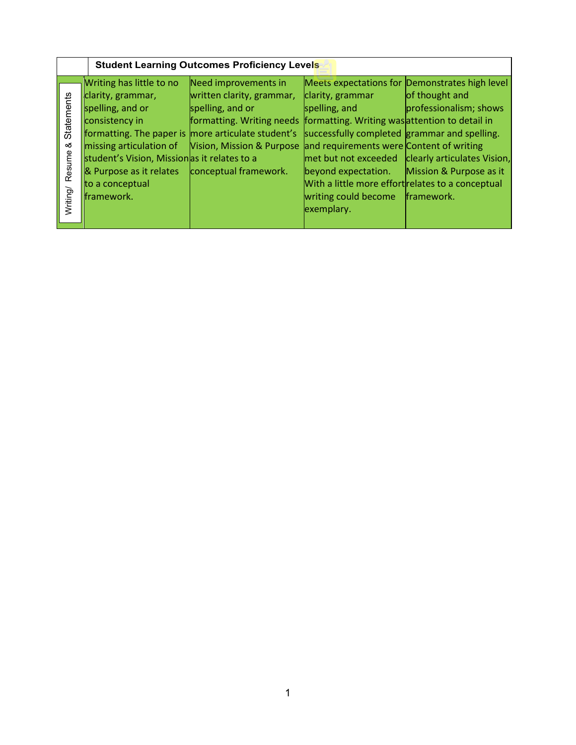|                                       |                                                                                                                                                                                                                                              | <b>Student Learning Outcomes Proficiency Levels</b>                                                                                                                                                                                                               |                                                                                                                                                                                                                                                 |                                                                                                                                                                                           |
|---------------------------------------|----------------------------------------------------------------------------------------------------------------------------------------------------------------------------------------------------------------------------------------------|-------------------------------------------------------------------------------------------------------------------------------------------------------------------------------------------------------------------------------------------------------------------|-------------------------------------------------------------------------------------------------------------------------------------------------------------------------------------------------------------------------------------------------|-------------------------------------------------------------------------------------------------------------------------------------------------------------------------------------------|
| Statements<br>త<br>Resume<br>Writing/ | Writing has little to no<br>clarity, grammar,<br>spelling, and or<br>consistency in<br>missing articulation of<br>student's Vision, Missionas it relates to a<br><b>&amp;</b> Purpose as it relates<br>to a conceptual<br><b>Iframework.</b> | Need improvements in<br>written clarity, grammar,<br>spelling, and or<br>formatting. Writing needs formatting. Writing was attention to detail in<br>  formatting. The paper is   more articulate student's<br>Vision, Mission & Purpose<br>conceptual framework. | clarity, grammar<br>spelling, and<br>successfully completed grammar and spelling.<br>and requirements were Content of writing<br>beyond expectation.<br>With a little more effort relates to a conceptual<br>writing could become<br>exemplary. | Meets expectations for Demonstrates high level<br>of thought and<br>professionalism; shows<br>met but not exceeded   clearly articulates Vision,<br>Mission & Purpose as it<br>framework. |